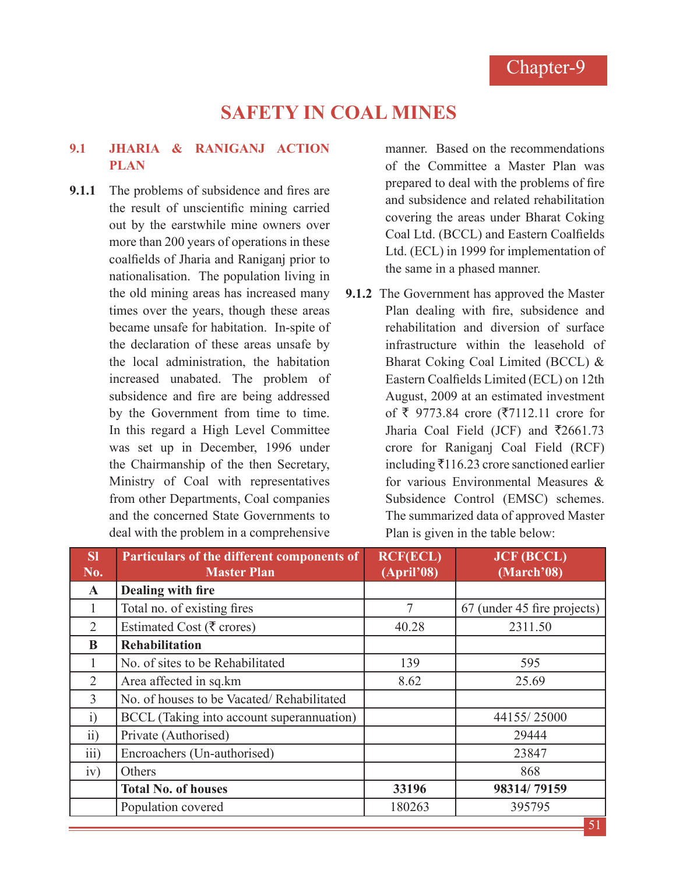# **SAFETY IN COAL MINES**

## **9.1 JHARIA & RANIGANJ ACTION PLAN**

**9.1.1** The problems of subsidence and fires are the result of unscientific mining carried out by the earstwhile mine owners over more than 200 years of operations in these coalfields of Jharia and Raniganj prior to nationalisation. The population living in the old mining areas has increased many times over the years, though these areas became unsafe for habitation. In-spite of the declaration of these areas unsafe by the local administration, the habitation increased unabated. The problem of subsidence and fire are being addressed by the Government from time to time. In this regard a High Level Committee was set up in December, 1996 under the Chairmanship of the then Secretary, Ministry of Coal with representatives from other Departments, Coal companies and the concerned State Governments to deal with the problem in a comprehensive manner. Based on the recommendations of the Committee a Master Plan was prepared to deal with the problems of fire and subsidence and related rehabilitation covering the areas under Bharat Coking Coal Ltd. (BCCL) and Eastern Coalfields Ltd. (ECL) in 1999 for implementation of the same in a phased manner.

**9.1.2** The Government has approved the Master Plan dealing with fire, subsidence and rehabilitation and diversion of surface infrastructure within the leasehold of Bharat Coking Coal Limited (BCCL) & Eastern Coalfields Limited (ECL) on 12th August, 2009 at an estimated investment of ₹ 9773.84 crore (₹7112.11 crore for Jharia Coal Field (JCF) and  $\overline{5}2661.73$ crore for Raniganj Coal Field (RCF) including  $\bar{x}$ 116.23 crore sanctioned earlier for various Environmental Measures & Subsidence Control (EMSC) schemes. The summarized data of approved Master Plan is given in the table below:

| SI<br>No.         | Particulars of the different components of<br><b>Master Plan</b> | <b>RCF(ECL)</b><br>(April'08) | <b>JCF (BCCL)</b><br>(March'08) |
|-------------------|------------------------------------------------------------------|-------------------------------|---------------------------------|
| $\mathbf{A}$      | Dealing with fire                                                |                               |                                 |
|                   | Total no. of existing fires                                      | 7                             | 67 (under 45 fire projects)     |
| $\overline{2}$    | Estimated Cost ( $\bar{\tau}$ crores)                            | 40.28                         | 2311.50                         |
| B                 | <b>Rehabilitation</b>                                            |                               |                                 |
|                   | No. of sites to be Rehabilitated                                 | 139                           | 595                             |
| $\overline{2}$    | Area affected in sq.km                                           | 8.62                          | 25.69                           |
| 3                 | No. of houses to be Vacated/Rehabilitated                        |                               |                                 |
| $\ddot{1}$        | BCCL (Taking into account superannuation)                        |                               | 44155/25000                     |
| $\overline{ii}$ ) | Private (Authorised)                                             |                               | 29444                           |
| $\overline{iii}$  | Encroachers (Un-authorised)                                      |                               | 23847                           |
| iv)               | Others                                                           |                               | 868                             |
|                   | <b>Total No. of houses</b>                                       | 33196                         | 98314/79159                     |
|                   | Population covered                                               | 180263                        | 395795                          |
|                   |                                                                  |                               | 51                              |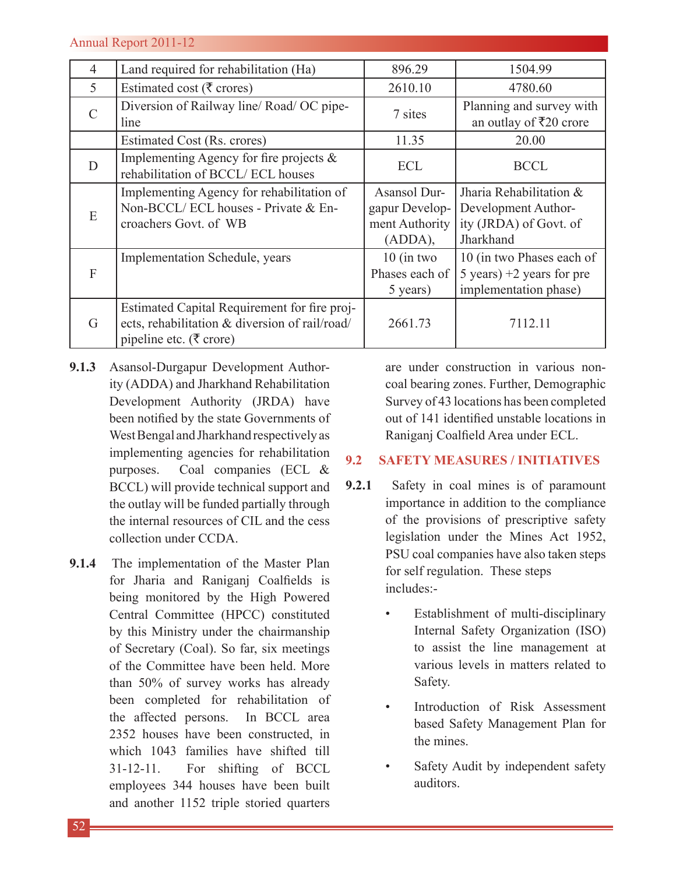| 4              | Land required for rehabilitation (Ha)                                                                                     | 896.29                                                      | 1504.99                                                                               |
|----------------|---------------------------------------------------------------------------------------------------------------------------|-------------------------------------------------------------|---------------------------------------------------------------------------------------|
| 5              | Estimated cost ( $\overline{\xi}$ crores)                                                                                 | 2610.10                                                     | 4780.60                                                                               |
| $\mathcal{C}$  | Diversion of Railway line/Road/OC pipe-<br>line                                                                           | 7 sites                                                     | Planning and survey with<br>an outlay of ₹20 crore                                    |
|                | Estimated Cost (Rs. crores)                                                                                               | 11.35                                                       | 20.00                                                                                 |
| D              | Implementing Agency for fire projects $\&$<br>rehabilitation of BCCL/ECL houses                                           | <b>ECL</b>                                                  | <b>BCCL</b>                                                                           |
| E              | Implementing Agency for rehabilitation of<br>Non-BCCL/ECL houses - Private & En-<br>croachers Govt. of WB                 | Asansol Dur-<br>gapur Develop-<br>ment Authority<br>(ADDA), | Jharia Rehabilitation &<br>Development Author-<br>ity (JRDA) of Govt. of<br>Jharkhand |
| $\overline{F}$ | Implementation Schedule, years                                                                                            | $10$ (in two<br>Phases each of<br>5 years)                  | 10 (in two Phases each of<br>5 years) $+2$ years for pre<br>implementation phase)     |
| G              | Estimated Capital Requirement for fire proj-<br>ects, rehabilitation & diversion of rail/road/<br>pipeline etc. (₹ crore) | 2661.73                                                     | 7112.11                                                                               |

- **9.1.3** Asansol-Durgapur Development Authority (ADDA) and Jharkhand Rehabilitation Development Authority (JRDA) have been notified by the state Governments of West Bengal and Jharkhand respectively as implementing agencies for rehabilitation purposes. Coal companies (ECL & BCCL) will provide technical support and the outlay will be funded partially through the internal resources of CIL and the cess collection under CCDA.
- **9.1.4** The implementation of the Master Plan for Jharia and Raniganj Coalfields is being monitored by the High Powered Central Committee (HPCC) constituted by this Ministry under the chairmanship of Secretary (Coal). So far, six meetings of the Committee have been held. More than 50% of survey works has already been completed for rehabilitation of the affected persons. In BCCL area 2352 houses have been constructed, in which 1043 families have shifted till 31-12-11. For shifting of BCCL employees 344 houses have been built and another 1152 triple storied quarters

are under construction in various noncoal bearing zones. Further, Demographic Survey of 43 locations has been completed out of 141 identified unstable locations in Raniganj Coalfield Area under ECL.

## **9.2 SAFETY MEASURES / INITIATIVES**

- **9.2.1** Safety in coal mines is of paramount importance in addition to the compliance of the provisions of prescriptive safety legislation under the Mines Act 1952, PSU coal companies have also taken steps for self regulation. These steps includes:-
	- Establishment of multi-disciplinary Internal Safety Organization (ISO) to assist the line management at various levels in matters related to Safety.
	- Introduction of Risk Assessment based Safety Management Plan for the mines.
	- Safety Audit by independent safety auditors.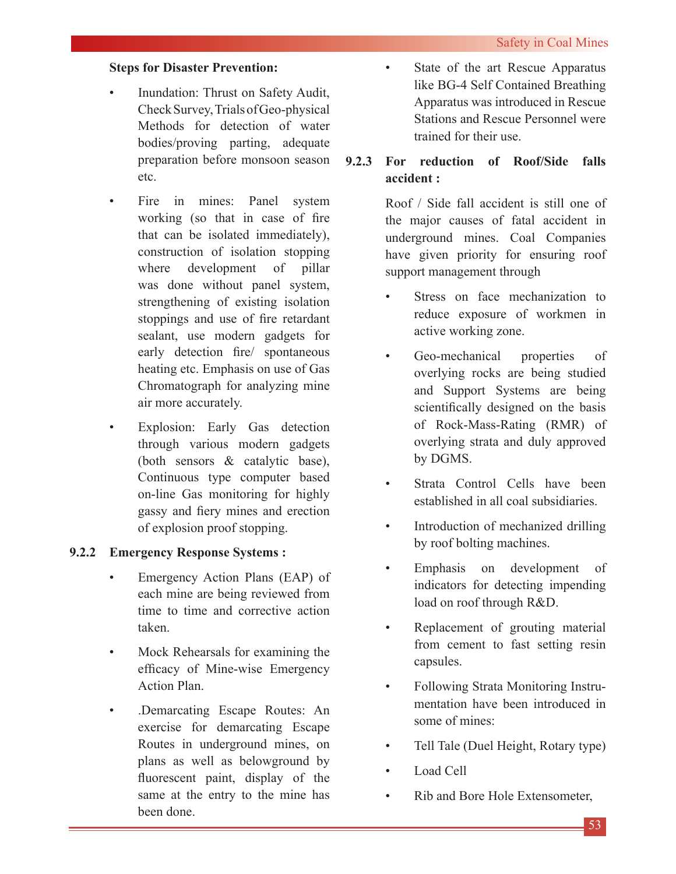## **Steps for Disaster Prevention:**

- Inundation: Thrust on Safety Audit, Check Survey, Trials of Geo-physical Methods for detection of water bodies/proving parting, adequate preparation before monsoon season etc.
- Fire in mines: Panel system working (so that in case of fire that can be isolated immediately), construction of isolation stopping where development of pillar was done without panel system, strengthening of existing isolation stoppings and use of fire retardant sealant, use modern gadgets for early detection fire/ spontaneous heating etc. Emphasis on use of Gas Chromatograph for analyzing mine air more accurately.
- Explosion: Early Gas detection through various modern gadgets (both sensors & catalytic base), Continuous type computer based on-line Gas monitoring for highly gassy and fiery mines and erection of explosion proof stopping.

## **9.2.2 Emergency Response Systems :**

- Emergency Action Plans (EAP) of each mine are being reviewed from time to time and corrective action taken.
- Mock Rehearsals for examining the efficacy of Mine-wise Emergency Action Plan.
- .Demarcating Escape Routes: An exercise for demarcating Escape Routes in underground mines, on plans as well as belowground by fluorescent paint, display of the same at the entry to the mine has been done.

State of the art Rescue Apparatus like BG-4 Self Contained Breathing Apparatus was introduced in Rescue Stations and Rescue Personnel were trained for their use.

## **9.2.3 For reduction of Roof/Side falls accident :**

Roof / Side fall accident is still one of the major causes of fatal accident in underground mines. Coal Companies have given priority for ensuring roof support management through

- Stress on face mechanization to reduce exposure of workmen in active working zone.
- Geo-mechanical properties of overlying rocks are being studied and Support Systems are being scientifically designed on the basis of Rock-Mass-Rating (RMR) of overlying strata and duly approved by DGMS.
- Strata Control Cells have been established in all coal subsidiaries.
- Introduction of mechanized drilling by roof bolting machines.
- Emphasis on development of indicators for detecting impending load on roof through R&D.
- Replacement of grouting material from cement to fast setting resin capsules.
- Following Strata Monitoring Instrumentation have been introduced in some of mines:
- Tell Tale (Duel Height, Rotary type)
- Load Cell
- Rib and Bore Hole Extensometer.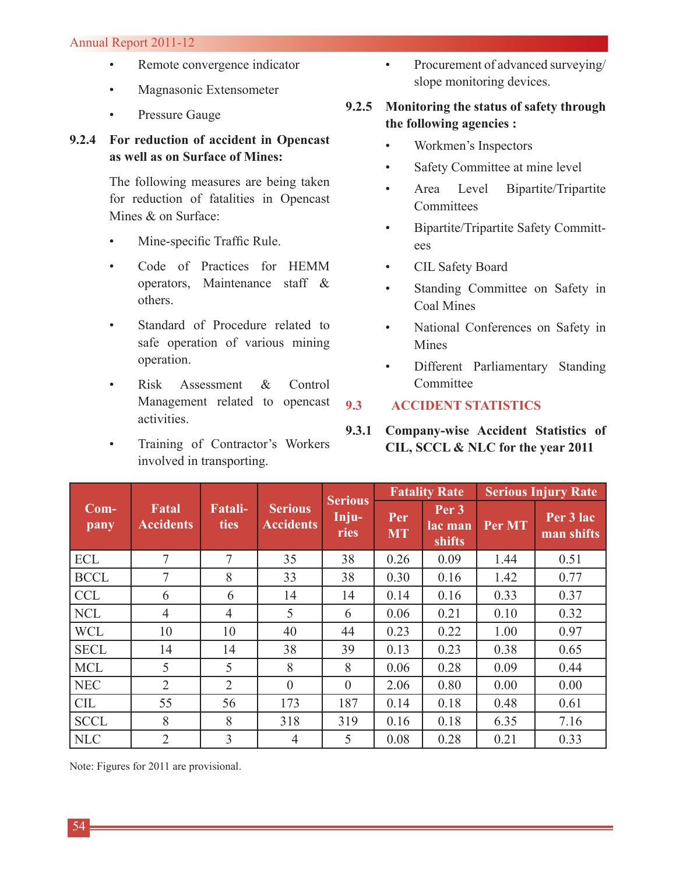### Annual Report 2011-12

- Remote convergence indicator
- Magnasonic Extensometer
- Pressure Gauge

## **9.2.4 For reduction of accident in Opencast as well as on Surface of Mines:**

The following measures are being taken for reduction of fatalities in Opencast Mines & on Surface:

- Mine-specific Traffic Rule.
- Code of Practices for HEMM operators, Maintenance staff & others.
- Standard of Procedure related to safe operation of various mining operation.
- Risk Assessment & Control Management related to opencast activities.
- Training of Contractor's Workers involved in transporting.

• Procurement of advanced surveying/ slope monitoring devices.

## **9.2.5 Monitoring the status of safety through the following agencies :**

- Workmen's Inspectors
- Safety Committee at mine level
- Area Level Bipartite/Tripartite **Committees**
- Bipartite/Tripartite Safety Committees
- CIL Safety Board
- Standing Committee on Safety in Coal Mines
- National Conferences on Safety in Mines
- Different Parliamentary Standing **Committee**
- **9.3 ACCIDENT STATISTICS**
- **9.3.1 Company-wise Accident Statistics of CIL, SCCL & NLC for the year 2011**

|                |                                  |                               |                                    | <b>Serious</b> |                  | <b>Fatality Rate</b>                  | <b>Serious Injury Rate</b> |                         |  |  |
|----------------|----------------------------------|-------------------------------|------------------------------------|----------------|------------------|---------------------------------------|----------------------------|-------------------------|--|--|
| $Com-$<br>pany | <b>Fatal</b><br><b>Accidents</b> | <b>Fatali-</b><br><b>ties</b> | <b>Serious</b><br><b>Accidents</b> | Inju-<br>ries  | Per<br><b>MT</b> | Per <sub>3</sub><br>lac man<br>shifts | Per MT                     | Per 3 lac<br>man shifts |  |  |
| <b>ECL</b>     | 7                                | 7                             | 35                                 | 38             | 0.26             | 0.09                                  | 1.44                       | 0.51                    |  |  |
| <b>BCCL</b>    | 7                                | 8                             | 33                                 | 38             | 0.30             | 0.16                                  | 1.42                       | 0.77                    |  |  |
| <b>CCL</b>     | 6                                | 6                             | 14                                 | 14             | 0.14             | 0.16                                  | 0.33                       | 0.37                    |  |  |
| <b>NCL</b>     | $\overline{4}$                   | $\overline{4}$                | 5                                  | 6              | 0.06             | 0.21                                  | 0.10                       | 0.32                    |  |  |
| <b>WCL</b>     | 10                               | 10                            | 40                                 | 44             | 0.23             | 0.22                                  | 1.00                       | 0.97                    |  |  |
| <b>SECL</b>    | 14                               | 14                            | 38                                 | 39             | 0.13             | 0.23                                  | 0.38                       | 0.65                    |  |  |
| <b>MCL</b>     | 5                                | 5                             | 8                                  | 8              | 0.06             | 0.28                                  | 0.09                       | 0.44                    |  |  |
| <b>NEC</b>     | $\overline{2}$                   | $\overline{2}$                | $\theta$                           | $\theta$       | 2.06             | 0.80                                  | 0.00                       | 0.00                    |  |  |
| <b>CIL</b>     | 55                               | 56                            | 173                                | 187            | 0.14             | 0.18                                  | 0.48                       | 0.61                    |  |  |
| <b>SCCL</b>    | 8                                | 8                             | 318                                | 319            | 0.16             | 0.18                                  | 6.35                       | 7.16                    |  |  |
| <b>NLC</b>     | $\overline{2}$                   | 3                             | 4                                  | 5              | 0.08             | 0.28                                  | 0.21                       | 0.33                    |  |  |

Note: Figures for 2011 are provisional.